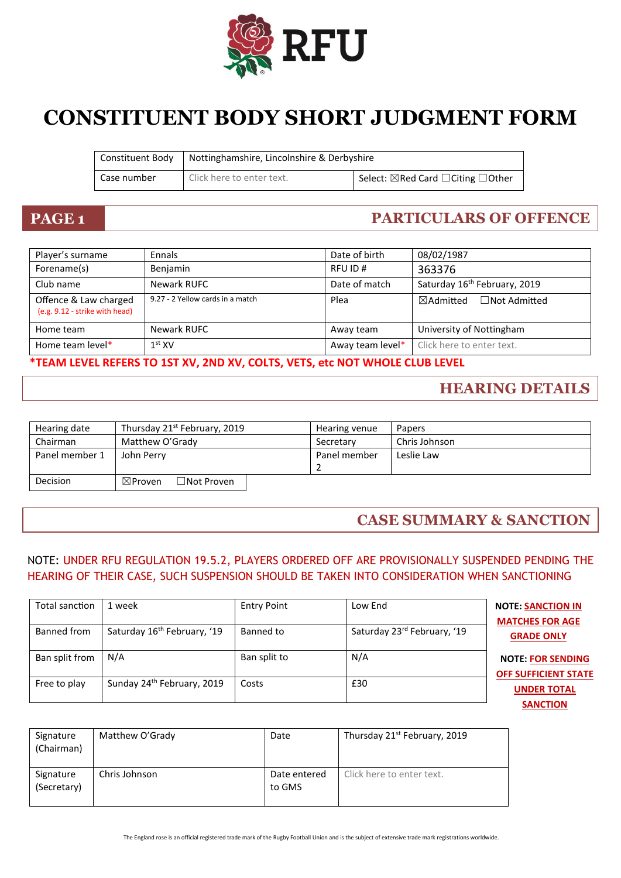

# **CONSTITUENT BODY SHORT JUDGMENT FORM**

| Constituent Body | Nottinghamshire, Lincolnshire & Derbyshire |                                    |
|------------------|--------------------------------------------|------------------------------------|
| Case number      | Click here to enter text.                  | Select: ⊠Red Card □ Citing □ Other |

## **PAGE 1 PARTICULARS OF OFFENCE**

| Player's surname                                        | Ennals                           | Date of birth    | 08/02/1987                                  |
|---------------------------------------------------------|----------------------------------|------------------|---------------------------------------------|
| Forename(s)                                             | Benjamin                         | RFU ID#          | 363376                                      |
| Club name                                               | Newark RUFC                      | Date of match    | Saturday 16 <sup>th</sup> February, 2019    |
| Offence & Law charged<br>(e.g. 9.12 - strike with head) | 9.27 - 2 Yellow cards in a match | Plea             | $\boxtimes$ Admitted<br>$\Box$ Not Admitted |
| Home team                                               | Newark RUFC                      | Away team        | University of Nottingham                    |
| Home team level*                                        | 1 <sup>st</sup> XV               | Away team level* | Click here to enter text.                   |

**\*TEAM LEVEL REFERS TO 1ST XV, 2ND XV, COLTS, VETS, etc NOT WHOLE CLUB LEVEL**

### **HEARING DETAILS**

| Hearing date   | Thursday 21 <sup>st</sup> February, 2019   | Hearing venue | <b>Papers</b> |
|----------------|--------------------------------------------|---------------|---------------|
| Chairman       | Matthew O'Grady                            | Secretary     | Chris Johnson |
| Panel member 1 | John Perry                                 | Panel member  | Leslie Law    |
|                |                                            | 2             |               |
| Decision       | $\exists$ Not Proven<br>$\boxtimes$ Proven |               |               |

### **CASE SUMMARY & SANCTION**

#### NOTE: UNDER RFU REGULATION 19.5.2, PLAYERS ORDERED OFF ARE PROVISIONALLY SUSPENDED PENDING THE HEARING OF THEIR CASE, SUCH SUSPENSION SHOULD BE TAKEN INTO CONSIDERATION WHEN SANCTIONING

| Total sanction | 1 week                                  | <b>Entry Point</b> | Low End                     | <b>NOTE: SANCTION IN</b><br><b>MATCHES FOR AGE</b>      |
|----------------|-----------------------------------------|--------------------|-----------------------------|---------------------------------------------------------|
| Banned from    | Saturday 16 <sup>th</sup> February, '19 | Banned to          | Saturday 23rd February, '19 | <b>GRADE ONLY</b>                                       |
| Ban split from | N/A                                     | Ban split to       | N/A                         | <b>NOTE: FOR SENDING</b><br><b>OFF SUFFICIENT STATE</b> |
| Free to play   | Sunday 24 <sup>th</sup> February, 2019  | Costs              | £30                         | <b>UNDER TOTAL</b><br><b>SANCTION</b>                   |

| Signature<br>(Chairman)  | Matthew O'Grady | Date                   | Thursday 21 <sup>st</sup> February, 2019 |
|--------------------------|-----------------|------------------------|------------------------------------------|
| Signature<br>(Secretary) | Chris Johnson   | Date entered<br>to GMS | Click here to enter text.                |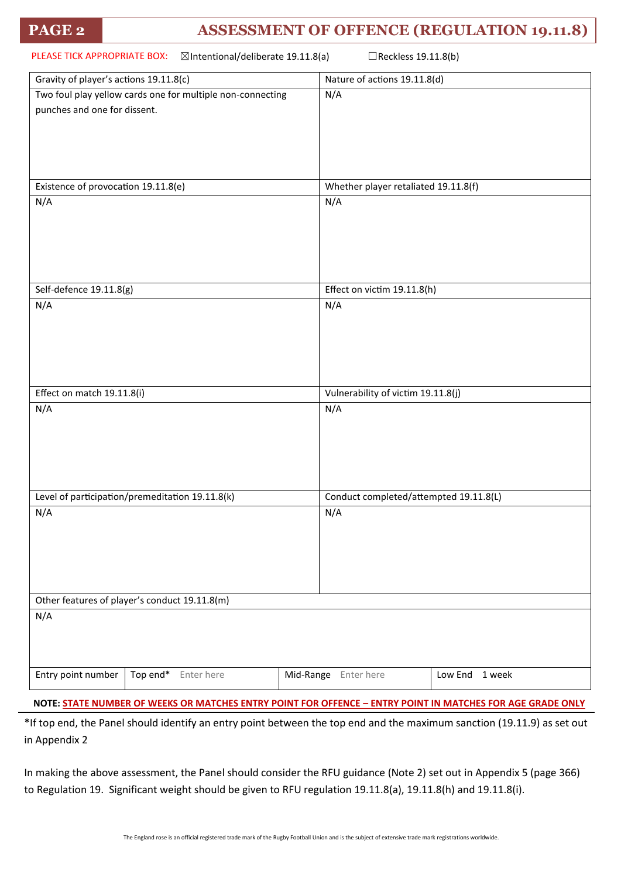### **PAGE 2 ASSESSMENT OF OFFENCE (REGULATION 19.11.8)**

| PLEASE TICK APPROPRIATE BOX:<br>⊠Intentional/deliberate 19.11.8(a)<br>□Reckless 19.11.8(b) |                                        |  |  |
|--------------------------------------------------------------------------------------------|----------------------------------------|--|--|
| Gravity of player's actions 19.11.8(c)                                                     | Nature of actions 19.11.8(d)           |  |  |
| Two foul play yellow cards one for multiple non-connecting<br>punches and one for dissent. | N/A                                    |  |  |
| Existence of provocation 19.11.8(e)                                                        | Whether player retaliated 19.11.8(f)   |  |  |
| N/A                                                                                        | N/A                                    |  |  |
| Self-defence 19.11.8(g)                                                                    | Effect on victim 19.11.8(h)            |  |  |
| N/A                                                                                        | N/A                                    |  |  |
| Effect on match 19.11.8(i)                                                                 | Vulnerability of victim 19.11.8(j)     |  |  |
| N/A                                                                                        | N/A                                    |  |  |
| Level of participation/premeditation 19.11.8(k)                                            | Conduct completed/attempted 19.11.8(L) |  |  |
| N/A                                                                                        | N/A                                    |  |  |
| Other features of player's conduct 19.11.8(m)                                              |                                        |  |  |
| N/A                                                                                        |                                        |  |  |
| Entry point number<br>Top end* Enter here                                                  | Mid-Range Enter here<br>Low End 1 week |  |  |
|                                                                                            |                                        |  |  |

**NOTE: STATE NUMBER OF WEEKS OR MATCHES ENTRY POINT FOR OFFENCE – ENTRY POINT IN MATCHES FOR AGE GRADE ONLY**

\*If top end, the Panel should identify an entry point between the top end and the maximum sanction (19.11.9) as set out in Appendix 2

In making the above assessment, the Panel should consider the RFU guidance (Note 2) set out in Appendix 5 (page 366) to Regulation 19. Significant weight should be given to RFU regulation 19.11.8(a), 19.11.8(h) and 19.11.8(i).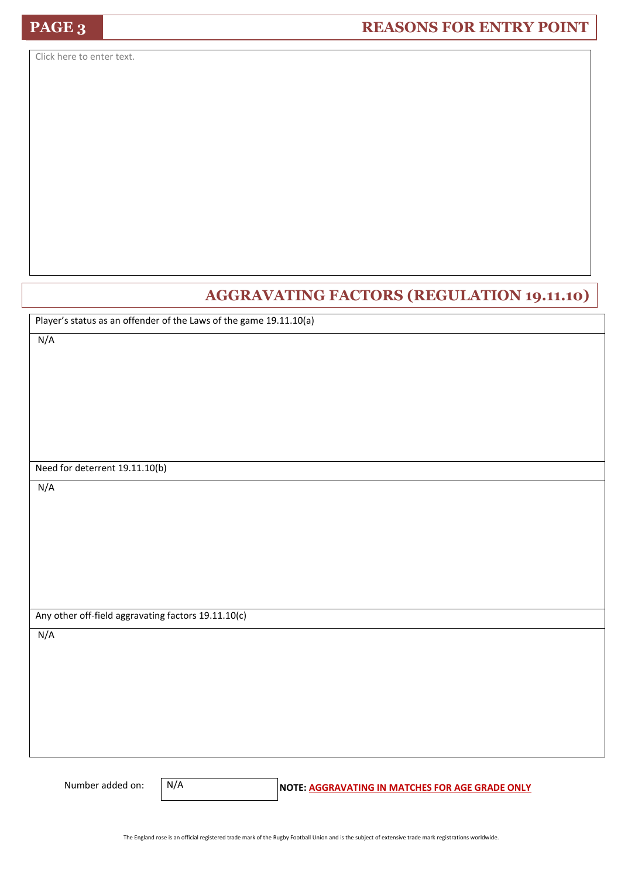Click here to enter text.

### **AGGRAVATING FACTORS (REGULATION 19.11.10)**

Player's status as an offender of the Laws of the game 19.11.10(a)

N/A

Need for deterrent 19.11.10(b)

N/A

Any other off-field aggravating factors 19.11.10(c)

N/A

N/A

Number added on: **N/A** NOTE: **AGGRAVATING IN MATCHES FOR AGE GRADE ONLY**